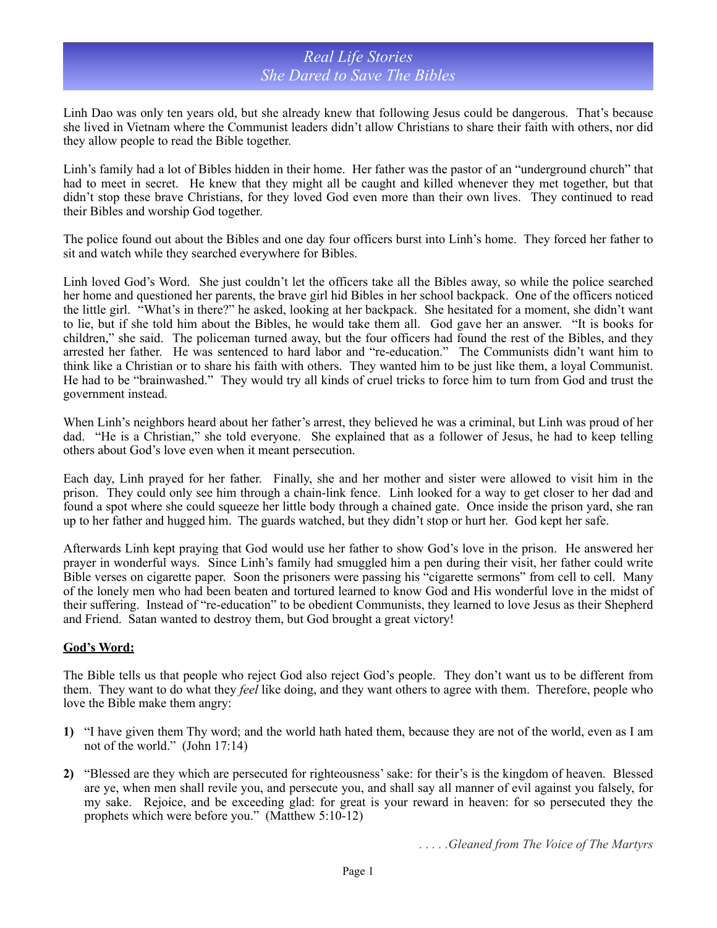## *Real Life Stories She Dared to Save The Bibles*

Linh Dao was only ten years old, but she already knew that following Jesus could be dangerous. That's because she lived in Vietnam where the Communist leaders didn't allow Christians to share their faith with others, nor did they allow people to read the Bible together.

Linh's family had a lot of Bibles hidden in their home. Her father was the pastor of an "underground church" that had to meet in secret. He knew that they might all be caught and killed whenever they met together, but that didn't stop these brave Christians, for they loved God even more than their own lives. They continued to read their Bibles and worship God together.

The police found out about the Bibles and one day four officers burst into Linh's home. They forced her father to sit and watch while they searched everywhere for Bibles.

Linh loved God's Word. She just couldn't let the officers take all the Bibles away, so while the police searched her home and questioned her parents, the brave girl hid Bibles in her school backpack. One of the officers noticed the little girl. "What's in there?" he asked, looking at her backpack. She hesitated for a moment, she didn't want to lie, but if she told him about the Bibles, he would take them all. God gave her an answer. "It is books for children," she said. The policeman turned away, but the four officers had found the rest of the Bibles, and they arrested her father. He was sentenced to hard labor and "re-education." The Communists didn't want him to think like a Christian or to share his faith with others. They wanted him to be just like them, a loyal Communist. He had to be "brainwashed." They would try all kinds of cruel tricks to force him to turn from God and trust the government instead.

When Linh's neighbors heard about her father's arrest, they believed he was a criminal, but Linh was proud of her dad. "He is a Christian," she told everyone. She explained that as a follower of Jesus, he had to keep telling others about God's love even when it meant persecution.

Each day, Linh prayed for her father. Finally, she and her mother and sister were allowed to visit him in the prison. They could only see him through a chain-link fence. Linh looked for a way to get closer to her dad and found a spot where she could squeeze her little body through a chained gate. Once inside the prison yard, she ran up to her father and hugged him. The guards watched, but they didn't stop or hurt her. God kept her safe.

Afterwards Linh kept praying that God would use her father to show God's love in the prison. He answered her prayer in wonderful ways. Since Linh's family had smuggled him a pen during their visit, her father could write Bible verses on cigarette paper. Soon the prisoners were passing his "cigarette sermons" from cell to cell. Many of the lonely men who had been beaten and tortured learned to know God and His wonderful love in the midst of their suffering. Instead of "re-education" to be obedient Communists, they learned to love Jesus as their Shepherd and Friend. Satan wanted to destroy them, but God brought a great victory!

## **God's Word:**

The Bible tells us that people who reject God also reject God's people. They don't want us to be different from them. They want to do what they *feel* like doing, and they want others to agree with them. Therefore, people who love the Bible make them angry:

- **1)** "I have given them Thy word; and the world hath hated them, because they are not of the world, even as I am not of the world." (John 17:14)
- **2)** "Blessed are they which are persecuted for righteousness' sake: for their's is the kingdom of heaven. Blessed are ye, when men shall revile you, and persecute you, and shall say all manner of evil against you falsely, for my sake. Rejoice, and be exceeding glad: for great is your reward in heaven: for so persecuted they the prophets which were before you." (Matthew 5:10-12)

*. . . . .Gleaned from The Voice of The Martyrs*